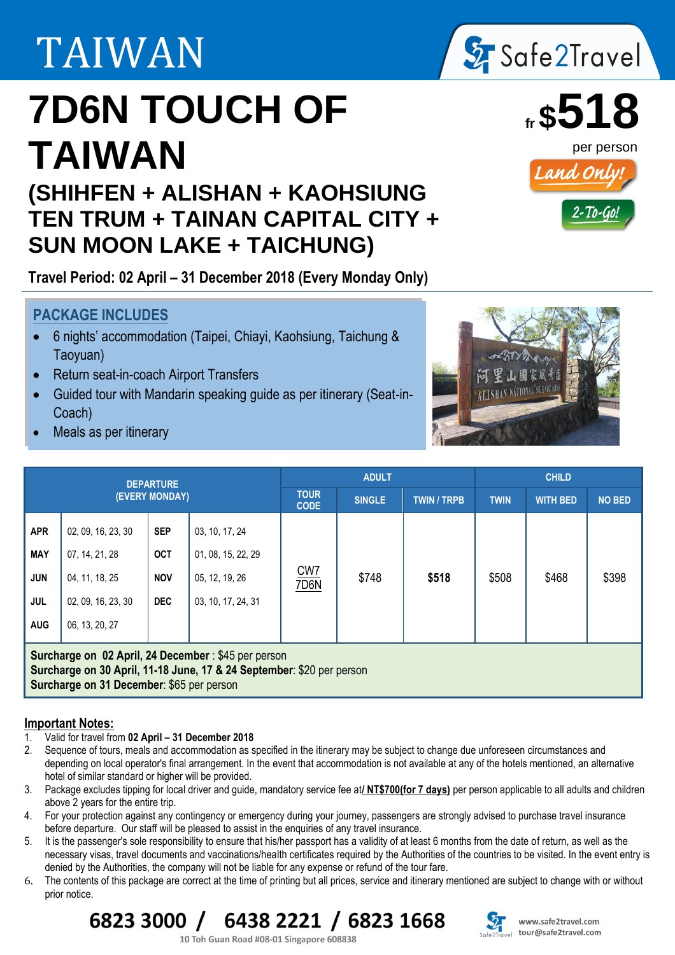# TAIWAN

## **7D6N TOUCH OF TAIWAN**

### **(SHIHFEN + ALISHAN + KAOHSIUNG TEN TRUM + TAINAN CAPITAL CITY + SUN MOON LAKE + TAICHUNG)**

**Travel Period: 02 April – 31 December 2018 (Every Monday Only)**

### **PACKAGE INCLUDES**

- 6 nights' accommodation (Taipei, Chiayi, Kaohsiung, Taichung & Taoyuan)
- Return seat-in-coach Airport Transfers
- Guided tour with Mandarin speaking guide as per itinerary (Seat-in-Coach)
- Meals as per itinerary

j



**Surcharge on 02 April, 24 December** : \$45 per person **Surcharge on 30 April, 11-18 June, 17 & 24 September**: \$20 per person **Surcharge on 31 December**: \$65 per person

#### **Important Notes:**

- 1. Valid for travel from **02 April – 31 December 2018**
- 2. Sequence of tours, meals and accommodation as specified in the itinerary may be subject to change due unforeseen circumstances and depending on local operator's final arrangement. In the event that accommodation is not available at any of the hotels mentioned, an alternative hotel of similar standard or higher will be provided.
- 3. Package excludes tipping for local driver and guide, mandatory service fee at**/ NT\$700(for 7 days)** per person applicable to all adults and children above 2 years for the entire trip.
- 4. For your protection against any contingency or emergency during your journey, passengers are strongly advised to purchase travel insurance before departure. Our staff will be pleased to assist in the enquiries of any travel insurance.
- 5. It is the passenger's sole responsibility to ensure that his/her passport has a validity of at least 6 months from the date of return, as well as the necessary visas, travel documents and vaccinations/health certificates required by the Authorities of the countries to be visited. In the event entry is denied by the Authorities, the company will not be liable for any expense or refund of the tour fare.
- 6. The contents of this package are correct at the time of printing but all prices, service and itinerary mentioned are subject to change with or without prior notice.





www.safe2travel.com tour@safe2travel.com







10 Toh Guan Road #08-01 Singapore 608838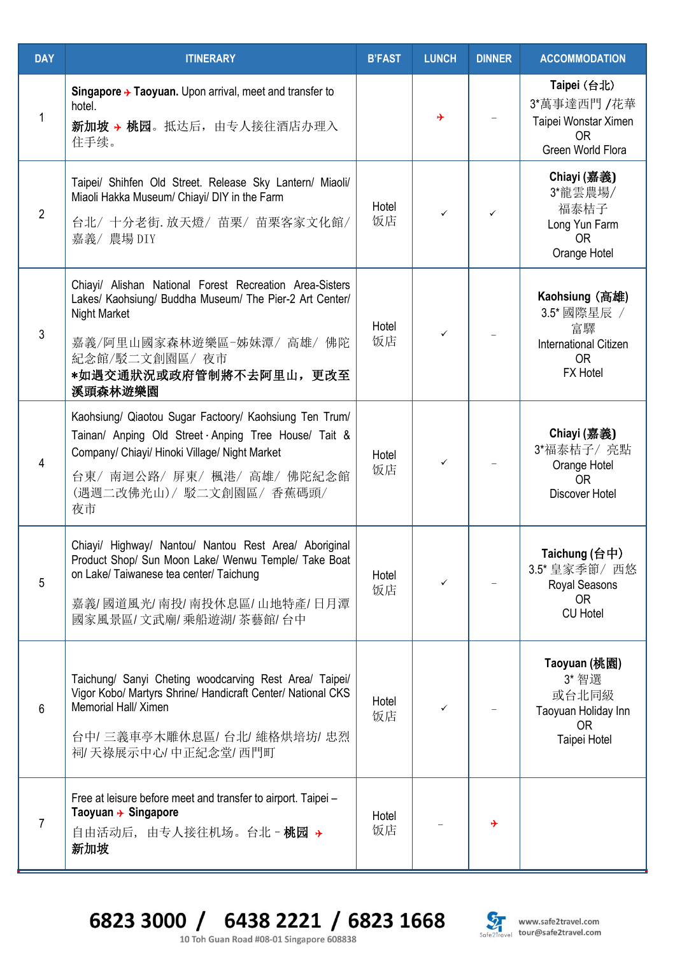| <b>DAY</b>     | <b>ITINERARY</b>                                                                                                                                                                                                         | <b>B'FAST</b> | <b>LUNCH</b> | <b>DINNER</b> | <b>ACCOMMODATION</b>                                                                                |
|----------------|--------------------------------------------------------------------------------------------------------------------------------------------------------------------------------------------------------------------------|---------------|--------------|---------------|-----------------------------------------------------------------------------------------------------|
| 1              | Singapore $\rightarrow$ Taoyuan. Upon arrival, meet and transfer to<br>hotel.<br>新加坡 > 桃园。抵达后, 由专人接往酒店办理入<br>住手续。                                                                                                        |               | ⊁            |               | Taipei (台北)<br>3*萬事達西門 /花華<br>Taipei Wonstar Ximen<br><b>OR</b><br>Green World Flora                |
| $\overline{2}$ | Taipei/ Shihfen Old Street. Release Sky Lantern/ Miaoli/<br>Miaoli Hakka Museum/ Chiayi/ DIY in the Farm<br>台北/十分老街. 放天燈/ 苗栗/ 苗栗客家文化館/<br>嘉義/ 農場 DIY                                                                     | Hotel<br>饭店   | ✓            | ✓             | Chiayi (嘉義)<br>3*龍雲農場/<br>福泰桔子<br>Long Yun Farm<br><b>OR</b><br>Orange Hotel                        |
| $\mathfrak{3}$ | Chiayi/ Alishan National Forest Recreation Area-Sisters<br>Lakes/ Kaohsiung/ Buddha Museum/ The Pier-2 Art Center/<br>Night Market<br>嘉義/阿里山國家森林遊樂區-姊妹潭/ 高雄/ 佛陀<br>紀念館/駁二文創園區/ 夜市<br>*如遇交通狀況或政府管制將不去阿里山,更改至<br>溪頭森林遊樂園   | Hotel<br>饭店   | ✓            |               | Kaohsiung (高雄)<br>3.5* 國際星辰 /<br>富驛<br><b>International Citizen</b><br><b>OR</b><br><b>FX Hotel</b> |
| 4              | Kaohsiung/ Qiaotou Sugar Factoory/ Kaohsiung Ten Trum/<br>Tainan/ Anping Old Street Anping Tree House/ Tait &<br>Company/ Chiayi/ Hinoki Village/ Night Market<br>台東/南迴公路/屏東/楓港/高雄/佛陀紀念館<br>(遇週二改佛光山)/駁二文創園區/香蕉碼頭/<br>夜市 | Hotel<br>饭店   | $\checkmark$ |               | Chiayi (嘉義)<br>3*福泰桔子/亮點<br>Orange Hotel<br><b>OR</b><br><b>Discover Hotel</b>                      |
| 5              | Chiayi/ Highway/ Nantou/ Nantou Rest Area/ Aboriginal<br>Product Shop/ Sun Moon Lake/ Wenwu Temple/ Take Boat<br>on Lake/ Taiwanese tea center/ Taichung<br>嘉義/國道風光/南投/南投休息區/山地特產/日月潭<br>國家風景區/文武廟/乘船遊湖/茶藝館/台中           | Hotel<br>饭店   |              |               | Taichung (台中)<br>3.5* 皇家季節/ 西悠<br>Royal Seasons<br><b>OR</b><br><b>CU Hotel</b>                     |
| 6              | Taichung/ Sanyi Cheting woodcarving Rest Area/ Taipei/<br>Vigor Kobo/ Martyrs Shrine/ Handicraft Center/ National CKS<br>Memorial Hall/ Ximen<br>台中/三義車亭木雕休息區/台北/維格烘培坊/忠烈<br>祠/天祿展示中心/中正紀念堂/西門町                          | Hotel<br>饭店   |              |               | Taoyuan (桃園)<br>3* 智選<br>或台北同級<br>Taoyuan Holiday Inn<br><b>OR</b><br>Taipei Hotel                  |
| 7              | Free at leisure before meet and transfer to airport. Taipei -<br>Taoyuan $\rightarrow$ Singapore<br>自由活动后, 由专人接往机场。台北 - 桃园 →<br>新加坡                                                                                      | Hotel<br>饭店   |              | →             |                                                                                                     |

6823 3000 / 6438 2221 / 6823 1668 10 Toh Guan Road #08-01 Singapore 608838